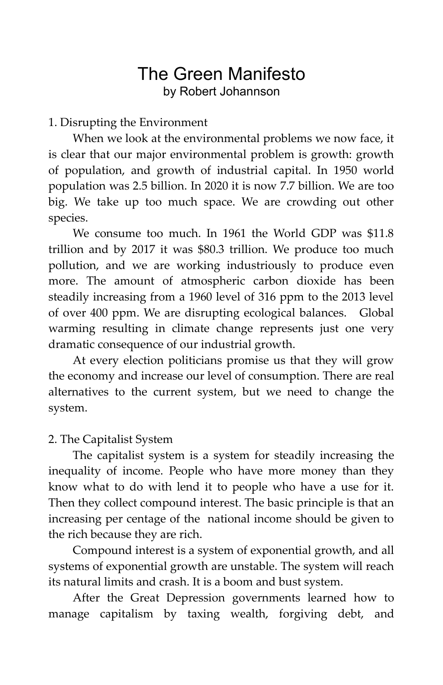# The Green Manifesto by Robert Johannson

1. Disrupting the Environment

When we look at the environmental problems we now face, it is clear that our major environmental problem is growth: growth of population, and growth of industrial capital. In 1950 world population was 2.5 billion. In 2020 it is now 7.7 billion. We are too big. We take up too much space. We are crowding out other species.

We consume too much. In 1961 the World GDP was \$11.8 trillion and by 2017 it was \$80.3 trillion. We produce too much pollution, and we are working industriously to produce even more. The amount of atmospheric carbon dioxide has been steadily increasing from a 1960 level of 316 ppm to the 2013 level of over 400 ppm. We are disrupting ecological balances. Global warming resulting in climate change represents just one very dramatic consequence of our industrial growth.

At every election politicians promise us that they will grow the economy and increase our level of consumption. There are real alternatives to the current system, but we need to change the system.

# 2. The Capitalist System

The capitalist system is a system for steadily increasing the inequality of income. People who have more money than they know what to do with lend it to people who have a use for it. Then they collect compound interest. The basic principle is that an increasing per centage of the national income should be given to the rich because they are rich.

Compound interest is a system of exponential growth, and all systems of exponential growth are unstable. The system will reach its natural limits and crash. It is a boom and bust system.

After the Great Depression governments learned how to manage capitalism by taxing wealth, forgiving debt, and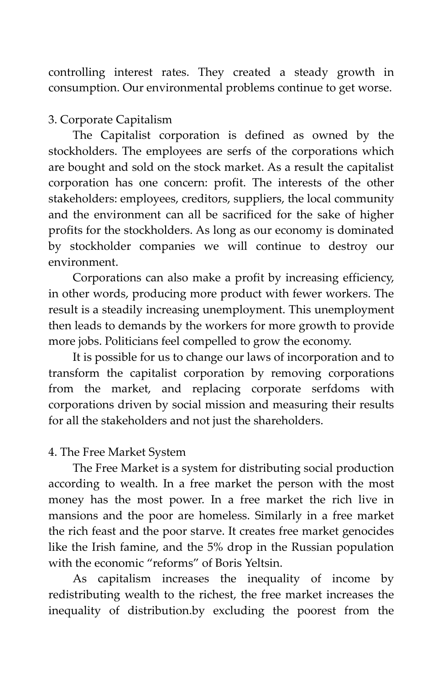controlling interest rates. They created a steady growth in consumption. Our environmental problems continue to get worse.

## 3. Corporate Capitalism

The Capitalist corporation is defined as owned by the stockholders. The employees are serfs of the corporations which are bought and sold on the stock market. As a result the capitalist corporation has one concern: profit. The interests of the other stakeholders: employees, creditors, suppliers, the local community and the environment can all be sacrificed for the sake of higher profits for the stockholders. As long as our economy is dominated by stockholder companies we will continue to destroy our environment.

Corporations can also make a profit by increasing efficiency, in other words, producing more product with fewer workers. The result is a steadily increasing unemployment. This unemployment then leads to demands by the workers for more growth to provide more jobs. Politicians feel compelled to grow the economy.

It is possible for us to change our laws of incorporation and to transform the capitalist corporation by removing corporations from the market, and replacing corporate serfdoms with corporations driven by social mission and measuring their results for all the stakeholders and not just the shareholders.

#### 4. The Free Market System

The Free Market is a system for distributing social production according to wealth. In a free market the person with the most money has the most power. In a free market the rich live in mansions and the poor are homeless. Similarly in a free market the rich feast and the poor starve. It creates free market genocides like the Irish famine, and the 5% drop in the Russian population with the economic "reforms" of Boris Yeltsin.

As capitalism increases the inequality of income by redistributing wealth to the richest, the free market increases the inequality of distribution.by excluding the poorest from the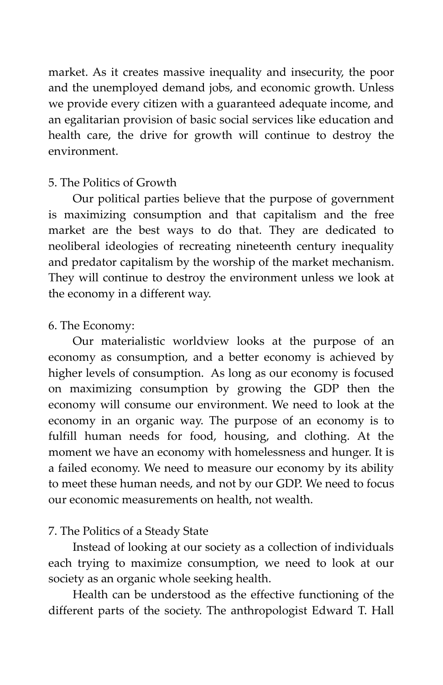market. As it creates massive inequality and insecurity, the poor and the unemployed demand jobs, and economic growth. Unless we provide every citizen with a guaranteed adequate income, and an egalitarian provision of basic social services like education and health care, the drive for growth will continue to destroy the environment.

#### 5. The Politics of Growth

Our political parties believe that the purpose of government is maximizing consumption and that capitalism and the free market are the best ways to do that. They are dedicated to neoliberal ideologies of recreating nineteenth century inequality and predator capitalism by the worship of the market mechanism. They will continue to destroy the environment unless we look at the economy in a different way.

#### 6. The Economy:

Our materialistic worldview looks at the purpose of an economy as consumption, and a better economy is achieved by higher levels of consumption. As long as our economy is focused on maximizing consumption by growing the GDP then the economy will consume our environment. We need to look at the economy in an organic way. The purpose of an economy is to fulfill human needs for food, housing, and clothing. At the moment we have an economy with homelessness and hunger. It is a failed economy. We need to measure our economy by its ability to meet these human needs, and not by our GDP. We need to focus our economic measurements on health, not wealth.

# 7. The Politics of a Steady State

Instead of looking at our society as a collection of individuals each trying to maximize consumption, we need to look at our society as an organic whole seeking health.

Health can be understood as the effective functioning of the different parts of the society. The anthropologist Edward T. Hall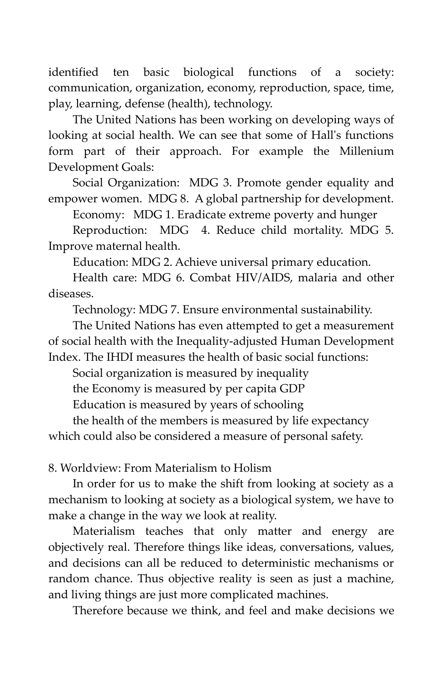identified ten basic biological functions of a society: communication, organization, economy, reproduction, space, time, play, learning, defense (health), technology.

The United Nations has been working on developing ways of looking at social health. We can see that some of Hall's functions form part of their approach. For example the Millenium Development Goals:

Social Organization: MDG 3. Promote gender equality and empower women. MDG 8. A global partnership for development.

Economy: MDG 1. Eradicate extreme poverty and hunger

Reproduction: MDG 4. Reduce child mortality. MDG 5. Improve maternal health.

Education: MDG 2. Achieve universal primary education.

Health care: MDG 6. Combat HIV/AIDS, malaria and other diseases.

Technology: MDG 7. Ensure environmental sustainability.

The United Nations has even attempted to get a measurement of social health with the Inequality-adjusted Human Development Index. The IHDI measures the health of basic social functions:

Social organization is measured by inequality

the Economy is measured by per capita GDP

Education is measured by years of schooling

the health of the members is measured by life expectancy which could also be considered a measure of personal safety.

8. Worldview: From Materialism to Holism

In order for us to make the shift from looking at society as a mechanism to looking at society as a biological system, we have to make a change in the way we look at reality.

Materialism teaches that only matter and energy are objectively real. Therefore things like ideas, conversations, values, and decisions can all be reduced to deterministic mechanisms or random chance. Thus objective reality is seen as just a machine, and living things are just more complicated machines.

Therefore because we think, and feel and make decisions we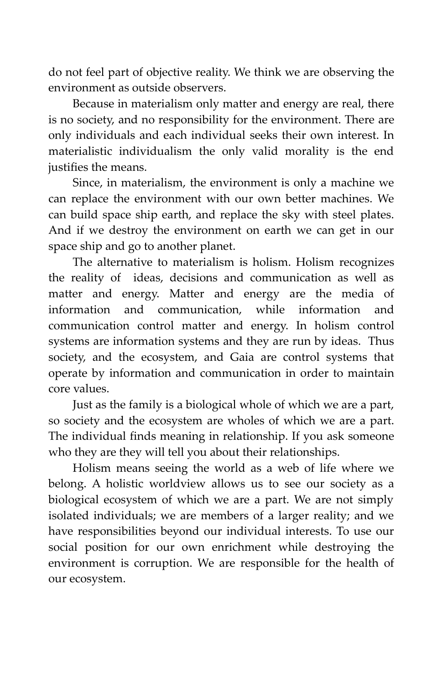do not feel part of objective reality. We think we are observing the environment as outside observers.

Because in materialism only matter and energy are real, there is no society, and no responsibility for the environment. There are only individuals and each individual seeks their own interest. In materialistic individualism the only valid morality is the end justifies the means.

Since, in materialism, the environment is only a machine we can replace the environment with our own better machines. We can build space ship earth, and replace the sky with steel plates. And if we destroy the environment on earth we can get in our space ship and go to another planet.

The alternative to materialism is holism. Holism recognizes the reality of ideas, decisions and communication as well as matter and energy. Matter and energy are the media of information and communication, while information and communication control matter and energy. In holism control systems are information systems and they are run by ideas. Thus society, and the ecosystem, and Gaia are control systems that operate by information and communication in order to maintain core values.

Just as the family is a biological whole of which we are a part, so society and the ecosystem are wholes of which we are a part. The individual finds meaning in relationship. If you ask someone who they are they will tell you about their relationships.

Holism means seeing the world as a web of life where we belong. A holistic worldview allows us to see our society as a biological ecosystem of which we are a part. We are not simply isolated individuals; we are members of a larger reality; and we have responsibilities beyond our individual interests. To use our social position for our own enrichment while destroying the environment is corruption. We are responsible for the health of our ecosystem.